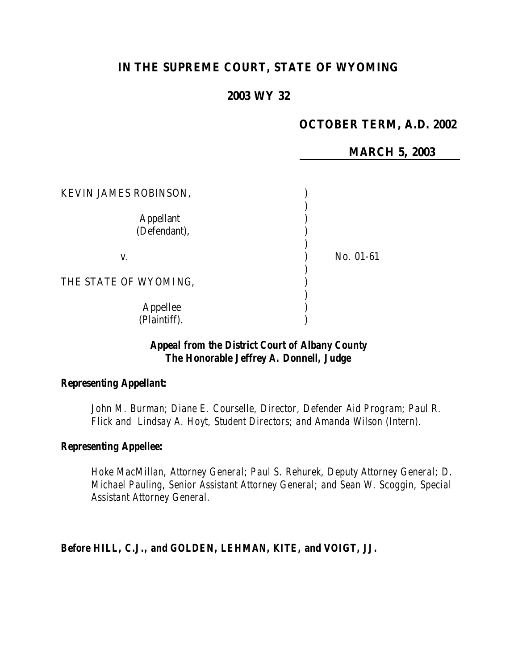# **IN THE SUPREME COURT, STATE OF WYOMING**

#### **2003 WY 32**

## **OCTOBER TERM, A.D. 2002**

**MARCH 5, 2003**

| KEVIN JAMES ROBINSON,            |           |
|----------------------------------|-----------|
| <b>Appellant</b><br>(Defendant), |           |
| V.                               | No. 01-61 |
| THE STATE OF WYOMING,            |           |
| Appellee<br>(Plaintiff).         |           |

## *Appeal from the District Court of Albany County The Honorable Jeffrey A. Donnell, Judge*

#### *Representing Appellant:*

*John M. Burman; Diane E. Courselle, Director, Defender Aid Program; Paul R. Flick and Lindsay A. Hoyt, Student Directors; and Amanda Wilson (Intern).*

#### *Representing Appellee:*

*Hoke MacMillan, Attorney General; Paul S. Rehurek, Deputy Attorney General; D. Michael Pauling, Senior Assistant Attorney General; and Sean W. Scoggin, Special Assistant Attorney General.*

*Before HILL, C.J., and GOLDEN, LEHMAN, KITE, and VOIGT, JJ.*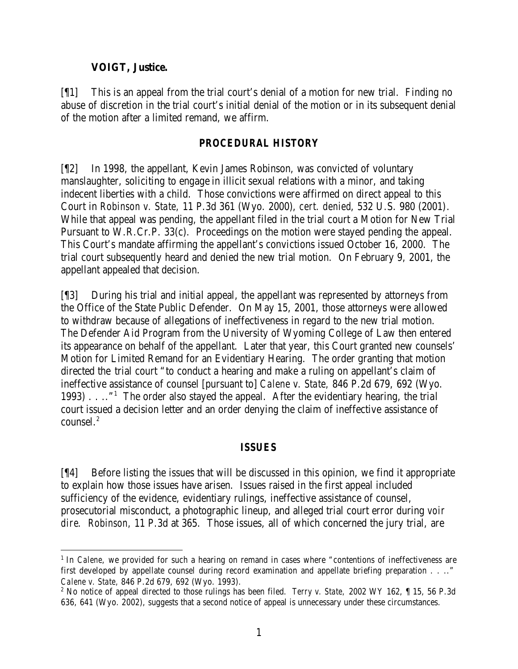### **VOIGT, Justice.**

[¶1] This is an appeal from the trial court's denial of a motion for new trial. Finding no abuse of discretion in the trial court's initial denial of the motion or in its subsequent denial of the motion after a limited remand, we affirm.

## *PROCEDURAL HISTORY*

[¶2] In 1998, the appellant, Kevin James Robinson, was convicted of voluntary manslaughter, soliciting to engage in illicit sexual relations with a minor, and taking indecent liberties with a child. Those convictions were affirmed on direct appeal to this Court in *Robinson v. State,* 11 P.3d 361 (Wyo. 2000), *cert. denied*, 532 U.S. 980 (2001). While that appeal was pending, the appellant filed in the trial court a Motion for New Trial Pursuant to W.R.Cr.P. 33(c). Proceedings on the motion were stayed pending the appeal. This Court's mandate affirming the appellant's convictions issued October 16, 2000. The trial court subsequently heard and denied the new trial motion. On February 9, 2001, the appellant appealed that decision.

[¶3] During his trial and initial appeal, the appellant was represented by attorneys from the Office of the State Public Defender. On May 15, 2001, those attorneys were allowed to withdraw because of allegations of ineffectiveness in regard to the new trial motion. The Defender Aid Program from the University of Wyoming College of Law then entered its appearance on behalf of the appellant. Later that year, this Court granted new counsels' Motion for Limited Remand for an Evidentiary Hearing. The order granting that motion directed the trial court "to conduct a hearing and make a ruling on appellant's claim of ineffective assistance of counsel [pursuant to] *Calene v. State,* 846 P.2d 679, 692 (Wyo. 1993) . . .."<sup>1</sup> The order also stayed the appeal. After the evidentiary hearing, the trial court issued a decision letter and an order denying the claim of ineffective assistance of counsel.<sup>2</sup>

## *ISSUES*

[¶4] Before listing the issues that will be discussed in this opinion, we find it appropriate to explain how those issues have arisen. Issues raised in the first appeal included sufficiency of the evidence, evidentiary rulings, ineffective assistance of counsel, prosecutorial misconduct, a photographic lineup, and alleged trial court error during *voir dire*. *Robinson,* 11 P.3d at 365. Those issues, all of which concerned the jury trial, are

<sup>&</sup>lt;sup>1</sup> In *Calene*, we provided for such a hearing on remand in cases where "contentions of ineffectiveness are first developed by appellate counsel during record examination and appellate briefing preparation . . .." *Calene v. State,* 846 P.2d 679, 692 (Wyo. 1993).

<sup>2</sup> No notice of appeal directed to those rulings has been filed. *Terry v. State,* 2002 WY 162, ¶ 15, 56 P.3d 636, 641 (Wyo. 2002), suggests that a second notice of appeal is unnecessary under these circumstances.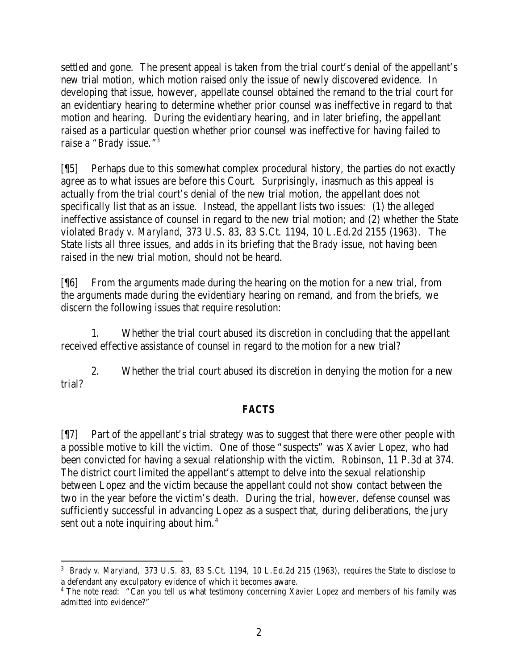settled and gone. The present appeal is taken from the trial court's denial of the appellant's new trial motion, which motion raised only the issue of newly discovered evidence. In developing that issue, however, appellate counsel obtained the remand to the trial court for an evidentiary hearing to determine whether prior counsel was ineffective in regard to that motion and hearing. During the evidentiary hearing, and in later briefing, the appellant raised as a particular question whether prior counsel was ineffective for having failed to raise a "*Brady* issue."<sup>3</sup>

[¶5] Perhaps due to this somewhat complex procedural history, the parties do not exactly agree as to what issues are before this Court. Surprisingly, inasmuch as this appeal is actually from the trial court's denial of the new trial motion, the appellant does not specifically list that as an issue. Instead, the appellant lists two issues: (1) the alleged ineffective assistance of counsel in regard to the new trial motion; and (2) whether the State violated *Brady v. Maryland*, 373 U.S. 83, 83 S.Ct. 1194, 10 L.Ed.2d 2155 (1963)*.* The State lists all three issues, and adds in its briefing that the *Brady* issue, not having been raised in the new trial motion, should not be heard.

[¶6] From the arguments made during the hearing on the motion for a new trial, from the arguments made during the evidentiary hearing on remand, and from the briefs, we discern the following issues that require resolution:

1. Whether the trial court abused its discretion in concluding that the appellant received effective assistance of counsel in regard to the motion for a new trial?

2. Whether the trial court abused its discretion in denying the motion for a new trial?

# *FACTS*

[¶7] Part of the appellant's trial strategy was to suggest that there were other people with a possible motive to kill the victim. One of those "suspects" was Xavier Lopez, who had been convicted for having a sexual relationship with the victim. *Robinson*, 11 P.3d at 374. The district court limited the appellant's attempt to delve into the sexual relationship between Lopez and the victim because the appellant could not show contact between the two in the year before the victim's death. During the trial, however, defense counsel was sufficiently successful in advancing Lopez as a suspect that, during deliberations, the jury sent out a note inquiring about him.<sup>4</sup>

 3 *Brady v. Maryland,* 373 U.S. 83, 83 S.Ct. 1194, 10 L.Ed.2d 215 (1963), requires the State to disclose to a defendant any exculpatory evidence of which it becomes aware.

<sup>&</sup>lt;sup>4</sup> The note read: "Can you tell us what testimony concerning Xavier Lopez and members of his family was admitted into evidence?"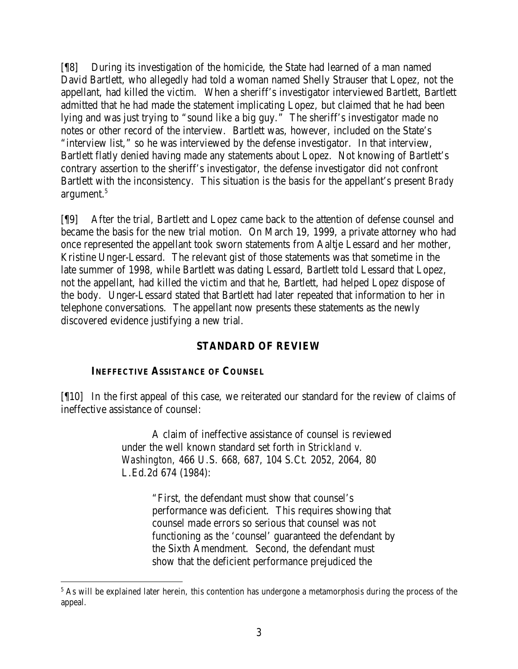[¶8] During its investigation of the homicide, the State had learned of a man named David Bartlett, who allegedly had told a woman named Shelly Strauser that Lopez, not the appellant, had killed the victim. When a sheriff's investigator interviewed Bartlett, Bartlett admitted that he had made the statement implicating Lopez, but claimed that he had been lying and was just trying to "sound like a big guy." The sheriff's investigator made no notes or other record of the interview. Bartlett was, however, included on the State's "interview list," so he was interviewed by the defense investigator. In that interview, Bartlett flatly denied having made any statements about Lopez. Not knowing of Bartlett's contrary assertion to the sheriff's investigator, the defense investigator did not confront Bartlett with the inconsistency. This situation is the basis for the appellant's present *Brady*  argument.<sup>5</sup>

[¶9] After the trial, Bartlett and Lopez came back to the attention of defense counsel and became the basis for the new trial motion. On March 19, 1999, a private attorney who had once represented the appellant took sworn statements from Aaltje Lessard and her mother, Kristine Unger-Lessard. The relevant gist of those statements was that sometime in the late summer of 1998, while Bartlett was dating Lessard, Bartlett told Lessard that Lopez, not the appellant, had killed the victim and that he, Bartlett, had helped Lopez dispose of the body. Unger-Lessard stated that Bartlett had later repeated that information to her in telephone conversations. The appellant now presents these statements as the newly discovered evidence justifying a new trial.

## **STANDARD OF REVIEW**

## **INEFFECTIVE ASSISTANCE OF COUNSEL**

[¶10] In the first appeal of this case, we reiterated our standard for the review of claims of ineffective assistance of counsel:

> A claim of ineffective assistance of counsel is reviewed under the well known standard set forth in *Strickland v. Washington,* 466 U.S. 668, 687, 104 S.Ct. 2052, 2064, 80 L.Ed.2d 674 (1984):

> > "First, the defendant must show that counsel's performance was deficient. This requires showing that counsel made errors so serious that counsel was not functioning as the 'counsel' guaranteed the defendant by the Sixth Amendment. Second, the defendant must show that the deficient performance prejudiced the

<sup>&</sup>lt;sup>5</sup> As will be explained later herein, this contention has undergone a metamorphosis during the process of the appeal.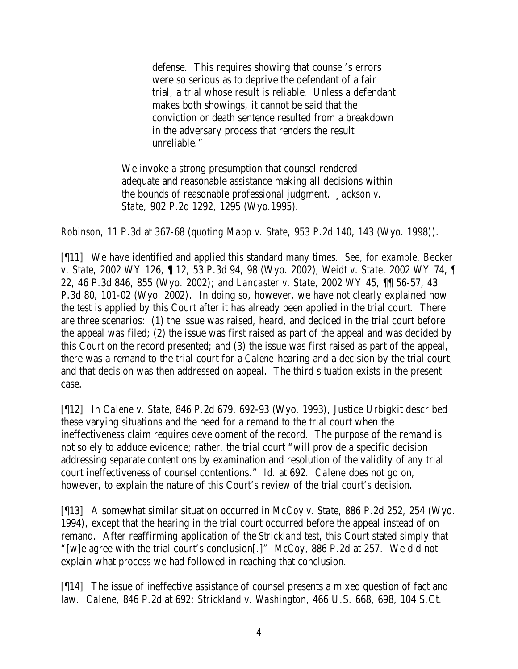defense. This requires showing that counsel's errors were so serious as to deprive the defendant of a fair trial, a trial whose result is reliable. Unless a defendant makes both showings, it cannot be said that the conviction or death sentence resulted from a breakdown in the adversary process that renders the result unreliable."

We invoke a strong presumption that counsel rendered adequate and reasonable assistance making all decisions within the bounds of reasonable professional judgment. *Jackson v. State,* 902 P.2d 1292, 1295 (Wyo.1995).

*Robinson,* 11 P.3d at 367-68 (*quoting Mapp v. State,* 953 P.2d 140, 143 (Wyo. 1998)).

[¶11] We have identified and applied this standard many times. *See, for example, Becker v. State,* 2002 WY 126, ¶ 12, 53 P.3d 94, 98 (Wyo. 2002); *Weidt v. State,* 2002 WY 74, ¶ 22, 46 P.3d 846, 855 (Wyo. 2002); and *Lancaster v. State,* 2002 WY 45, ¶¶ 56-57, 43 P.3d 80, 101-02 (Wyo. 2002). In doing so, however, we have not clearly explained how the test is applied by this Court after it has already been applied in the trial court. There are three scenarios: (1) the issue was raised, heard, and decided in the trial court before the appeal was filed; (2) the issue was first raised as part of the appeal and was decided by this Court on the record presented; and (3) the issue was first raised as part of the appeal, there was a remand to the trial court for a *Calene* hearing and a decision by the trial court, and that decision was then addressed on appeal. The third situation exists in the present case.

[¶12] In *Calene v. State,* 846 P.2d 679, 692-93 (Wyo. 1993), Justice Urbigkit described these varying situations and the need for a remand to the trial court when the ineffectiveness claim requires development of the record. The purpose of the remand is not solely to adduce evidence; rather, the trial court "will provide a specific decision addressing separate contentions by examination and resolution of the validity of any trial court ineffectiveness of counsel contentions." *Id.* at 692. *Calene* does not go on, however, to explain the nature of this Court's review of the trial court's decision.

[¶13] A somewhat similar situation occurred in *McCoy v. State,* 886 P.2d 252, 254 (Wyo. 1994), except that the hearing in the trial court occurred before the appeal instead of on remand. After reaffirming application of the *Strickland* test, this Court stated simply that "[w]e agree with the trial court's conclusion[.]" *McCoy*, 886 P.2d at 257. We did not explain what process we had followed in reaching that conclusion.

[¶14] The issue of ineffective assistance of counsel presents a mixed question of fact and law. *Calene,* 846 P.2d at 692; *Strickland v. Washington,* 466 U.S. 668, 698, 104 S.Ct.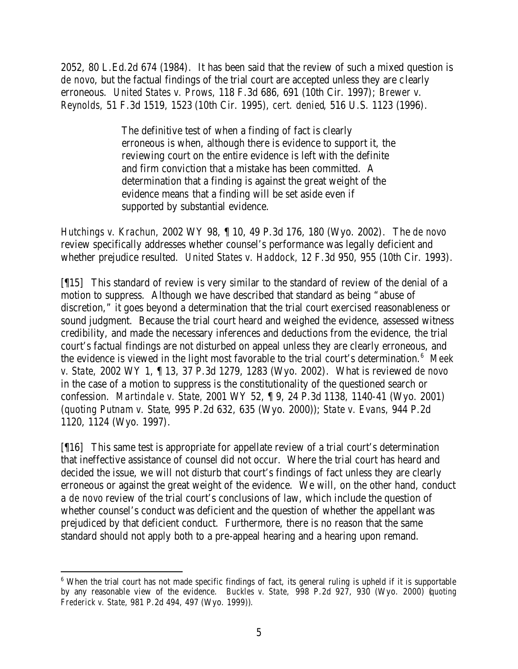2052, 80 L.Ed.2d 674 (1984). It has been said that the review of such a mixed question is *de novo*, but the factual findings of the trial court are accepted unless they are c learly erroneous. *United States v. Prows,* 118 F.3d 686, 691 (10th Cir. 1997); *Brewer v. Reynolds,* 51 F.3d 1519, 1523 (10th Cir. 1995), *cert. denied*, 516 U.S. 1123 (1996).

> The definitive test of when a finding of fact is clearly erroneous is when, although there is evidence to support it, the reviewing court on the entire evidence is left with the definite and firm conviction that a mistake has been committed. A determination that a finding is against the great weight of the evidence means that a finding will be set aside even if supported by substantial evidence.

*Hutchings v. Krachun,* 2002 WY 98, ¶ 10, 49 P.3d 176, 180 (Wyo. 2002). The *de novo*  review specifically addresses whether counsel's performance was legally deficient and whether prejudice resulted. *United States v. Haddock,* 12 F.3d 950, 955 (10th Cir. 1993).

[¶15] This standard of review is very similar to the standard of review of the denial of a motion to suppress. Although we have described that standard as being "abuse of discretion," it goes beyond a determination that the trial court exercised reasonableness or sound judgment. Because the trial court heard and weighed the evidence, assessed witness credibility, and made the necessary inferences and deductions from the evidence, the trial court's factual findings are not disturbed on appeal unless they are clearly erroneous, and the evidence is viewed in the light most favorable to the trial court's determination.<sup>6</sup> Meek *v. State,* 2002 WY 1, ¶ 13, 37 P.3d 1279, 1283 (Wyo. 2002). What is reviewed *de novo* in the case of a motion to suppress is the constitutionality of the questioned search or confession. *Martindale v. State,* 2001 WY 52, ¶ 9, 24 P.3d 1138, 1140-41 (Wyo. 2001) (*quoting Putnam v. State*, 995 P.2d 632, 635 (Wyo. 2000)); *State v. Evans,* 944 P.2d 1120, 1124 (Wyo. 1997).

[¶16] This same test is appropriate for appellate review of a trial court's determination that ineffective assistance of counsel did not occur. Where the trial court has heard and decided the issue, we will not disturb that court's findings of fact unless they are clearly erroneous or against the great weight of the evidence. We will, on the other hand, conduct a *de novo* review of the trial court's conclusions of law, which include the question of whether counsel's conduct was deficient and the question of whether the appellant was prejudiced by that deficient conduct. Furthermore, there is no reason that the same standard should not apply both to a pre-appeal hearing and a hearing upon remand.

 <sup>6</sup> When the trial court has not made specific findings of fact, its general ruling is upheld if it is supportable by any reasonable view of the evidence. *Buckles v. State,* 998 P.2d 927, 930 (Wyo. 2000) (*quoting Frederick v. State*, 981 P.2d 494, 497 (Wyo. 1999)).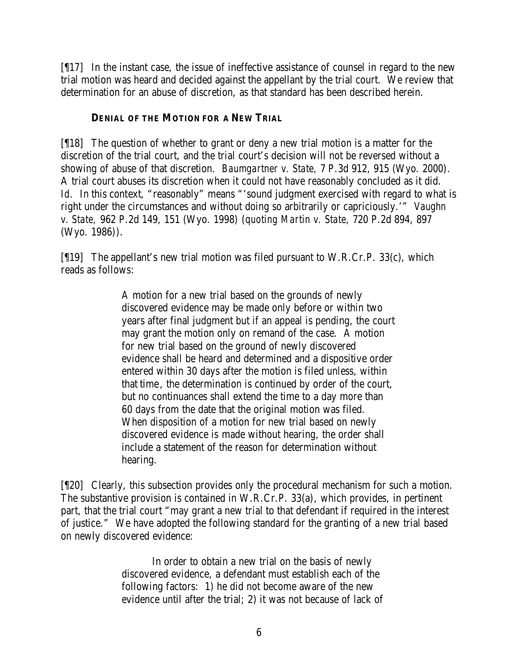[¶17] In the instant case, the issue of ineffective assistance of counsel in regard to the new trial motion was heard and decided against the appellant by the trial court. We review that determination for an abuse of discretion, as that standard has been described herein.

### **DENIAL OF THE MOTION FOR A NEW TRIAL**

[¶18] The question of whether to grant or deny a new trial motion is a matter for the discretion of the trial court, and the trial court's decision will not be reversed without a showing of abuse of that discretion. *Baumgartner v. State,* 7 P.3d 912, 915 (Wyo. 2000). A trial court abuses its discretion when it could not have reasonably concluded as it did. Id. In this context, "reasonably" means "'sound judgment exercised with regard to what is right under the circumstances and without doing so arbitrarily or capriciously.'" *Vaughn v. State,* 962 P.2d 149, 151 (Wyo. 1998) (*quoting Martin v. State,* 720 P.2d 894, 897 (Wyo. 1986)).

 $[$ [19] The appellant's new trial motion was filed pursuant to W.R.Cr.P. 33(c), which reads as follows:

> A motion for a new trial based on the grounds of newly discovered evidence may be made only before or within two years after final judgment but if an appeal is pending, the court may grant the motion only on remand of the case. A motion for new trial based on the ground of newly discovered evidence shall be heard and determined and a dispositive order entered within 30 days after the motion is filed unless, within that time, the determination is continued by order of the court, but no continuances shall extend the time to a day more than 60 days from the date that the original motion was filed. When disposition of a motion for new trial based on newly discovered evidence is made without hearing, the order shall include a statement of the reason for determination without hearing.

[¶20] Clearly, this subsection provides only the procedural mechanism for such a motion. The substantive provision is contained in W.R.Cr.P. 33(a), which provides, in pertinent part, that the trial court "may grant a new trial to that defendant if required in the interest of justice." We have adopted the following standard for the granting of a new trial based on newly discovered evidence:

> In order to obtain a new trial on the basis of newly discovered evidence, a defendant must establish each of the following factors: 1) he did not become aware of the new evidence until after the trial; 2) it was not because of lack of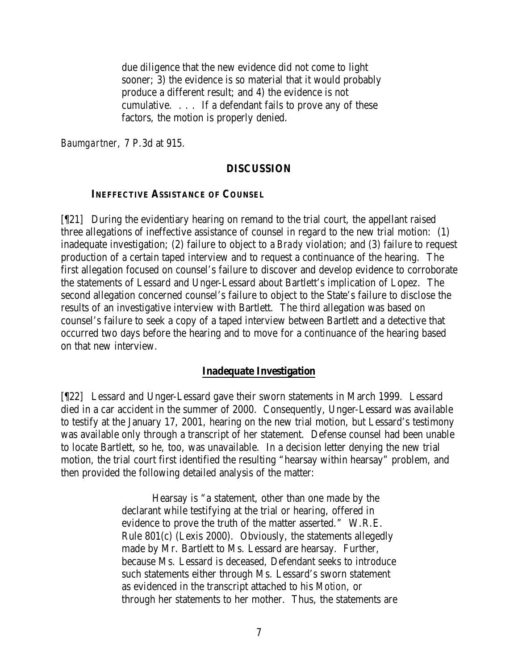due diligence that the new evidence did not come to light sooner; 3) the evidence is so material that it would probably produce a different result; and 4) the evidence is not cumulative. . . . If a defendant fails to prove any of these factors, the motion is properly denied.

*Baumgartner,* 7 P.3d at 915.

#### **DISCUSSION**

#### **INEFFECTIVE ASSISTANCE OF COUNSEL**

[¶21] During the evidentiary hearing on remand to the trial court, the appellant raised three allegations of ineffective assistance of counsel in regard to the new trial motion: (1) inadequate investigation; (2) failure to object to a *Brady* violation; and (3) failure to request production of a certain taped interview and to request a continuance of the hearing. The first allegation focused on counsel's failure to discover and develop evidence to corroborate the statements of Lessard and Unger-Lessard about Bartlett's implication of Lopez. The second allegation concerned counsel's failure to object to the State's failure to disclose the results of an investigative interview with Bartlett. The third allegation was based on counsel's failure to seek a copy of a taped interview between Bartlett and a detective that occurred two days before the hearing and to move for a continuance of the hearing based on that new interview.

#### **Inadequate Investigation**

[¶22] Lessard and Unger-Lessard gave their sworn statements in March 1999. Lessard died in a car accident in the summer of 2000. Consequently, Unger-Lessard was available to testify at the January 17, 2001, hearing on the new trial motion, but Lessard's testimony was available only through a transcript of her statement. Defense counsel had been unable to locate Bartlett, so he, too, was unavailable. In a decision letter denying the new trial motion, the trial court first identified the resulting "hearsay within hearsay" problem, and then provided the following detailed analysis of the matter:

> Hearsay is "a statement, other than one made by the declarant while testifying at the trial or hearing, offered in evidence to prove the truth of the matter asserted." W.R.E. Rule 801(c) (Lexis 2000). Obviously, the statements allegedly made by Mr. Bartlett to Ms. Lessard are hearsay. Further, because Ms. Lessard is deceased, Defendant seeks to introduce such statements either through Ms. Lessard's sworn statement as evidenced in the transcript attached to his *Motion*, or through her statements to her mother. Thus, the statements are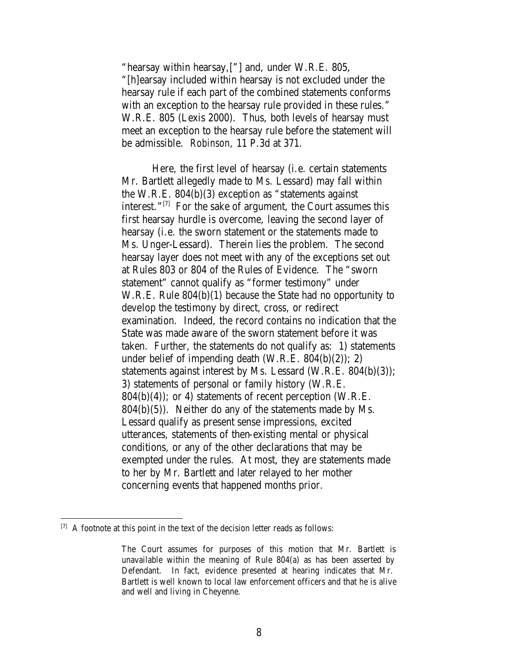"hearsay within hearsay,["] and, under W.R.E. 805, "[h]earsay included within hearsay is not excluded under the hearsay rule if each part of the combined statements conforms with an exception to the hearsay rule provided in these rules." W.R.E. 805 (Lexis 2000). Thus, both levels of hearsay must meet an exception to the hearsay rule before the statement will be admissible. *Robinson,* 11 P.3d at 371.

Here, the first level of hearsay (i.e. certain statements Mr. Bartlett allegedly made to Ms. Lessard) may fall within the W.R.E. 804(b)(3) exception as "statements against interest."[7] For the sake of argument, the Court assumes this first hearsay hurdle is overcome, leaving the second layer of hearsay (i.e. the sworn statement or the statements made to Ms. Unger-Lessard). Therein lies the problem. The second hearsay layer does not meet with any of the exceptions set out at Rules 803 or 804 of the Rules of Evidence. The "sworn statement" cannot qualify as "former testimony" under W.R.E. Rule 804(b)(1) because the State had no opportunity to develop the testimony by direct, cross, or redirect examination. Indeed, the record contains no indication that the State was made aware of the sworn statement before it was taken. Further, the statements do not qualify as: 1) statements under belief of impending death (W.R.E. 804(b)(2)); 2) statements against interest by Ms. Lessard (W.R.E. 804(b)(3)); 3) statements of personal or family history (W.R.E.  $804(b)(4)$ ; or 4) statements of recent perception (W.R.E.  $804(b)(5)$ . Neither do any of the statements made by Ms. Lessard qualify as present sense impressions, excited utterances, statements of then-existing mental or physical conditions, or any of the other declarations that may be exempted under the rules. At most, they are statements made to her by Mr. Bartlett and later relayed to her mother concerning events that happened months prior.

 $[7]$  A footnote at this point in the text of the decision letter reads as follows:

The Court assumes for purposes of this motion that Mr. Bartlett is unavailable within the meaning of Rule 804(a) as has been asserted by Defendant. In fact, evidence presented at hearing indicates that Mr. Bartlett is well known to local law enforcement officers and that he is alive and well and living in Cheyenne.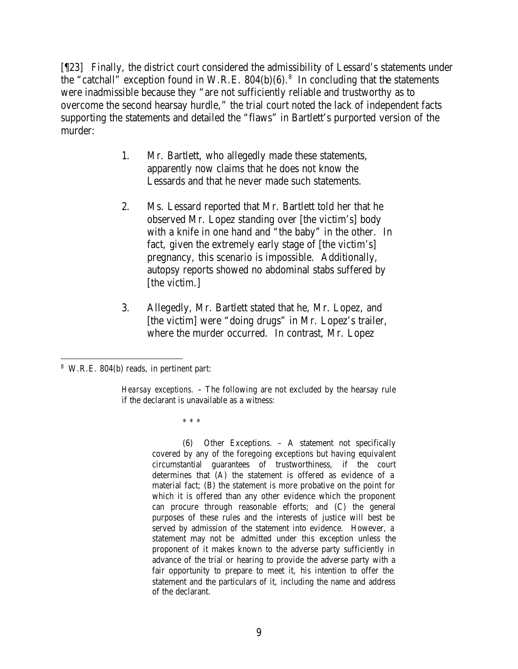[¶23] Finally, the district court considered the admissibility of Lessard's statements under the "catchall" exception found in W.R.E.  $804(b)(6)$ .<sup>8</sup> In concluding that the statements were inadmissible because they "are not sufficiently reliable and trustworthy as to overcome the second hearsay hurdle," the trial court noted the lack of independent facts supporting the statements and detailed the "flaws" in Bartlett's purported version of the murder:

- 1. Mr. Bartlett, who allegedly made these statements, apparently now claims that he does not know the Lessards and that he never made such statements.
- 2. Ms. Lessard reported that Mr. Bartlett told her that he observed Mr. Lopez standing over [the victim's] body with a knife in one hand and "the baby" in the other. In fact, given the extremely early stage of [the victim's] pregnancy, this scenario is impossible. Additionally, autopsy reports showed no abdominal stabs suffered by [the victim.]
- 3. Allegedly, Mr. Bartlett stated that he, Mr. Lopez, and [the victim] were "doing drugs" in Mr. Lopez's trailer, where the murder occurred. In contrast, Mr. Lopez

\* \* \*

(6) Other Exceptions. – A statement not specifically covered by any of the foregoing exceptions but having equivalent circumstantial guarantees of trustworthiness, if the court determines that (A) the statement is offered as evidence of a material fact; (B) the statement is more probative on the point for which it is offered than any other evidence which the proponent can procure through reasonable efforts; and (C) the general purposes of these rules and the interests of justice will best be served by admission of the statement into evidence. However, a statement may not be admitted under this exception unless the proponent of it makes known to the adverse party sufficiently in advance of the trial or hearing to provide the adverse party with a fair opportunity to prepare to meet it, his intention to offer the statement and the particulars of it, including the name and address of the declarant.

 8 W.R.E. 804(b) reads, in pertinent part:

*Hearsay exceptions.* – The following are not excluded by the hearsay rule if the declarant is unavailable as a witness: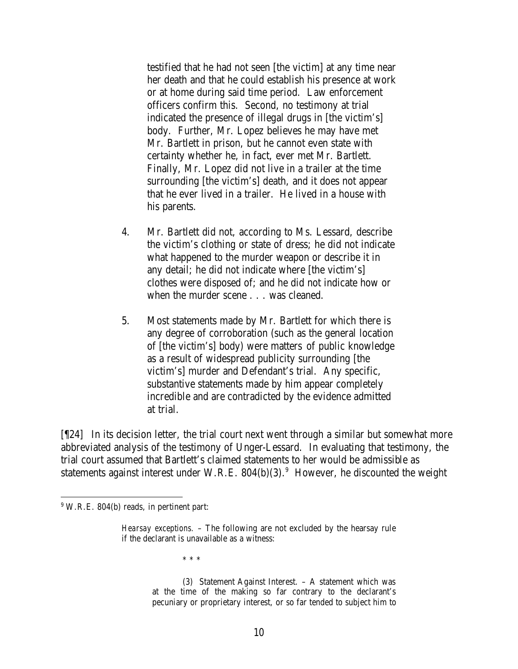testified that he had not seen [the victim] at any time near her death and that he could establish his presence at work or at home during said time period. Law enforcement officers confirm this. Second, no testimony at trial indicated the presence of illegal drugs in [the victim's] body. Further, Mr. Lopez believes he may have met Mr. Bartlett in prison, but he cannot even state with certainty whether he, in fact, ever met Mr. Bartlett. Finally, Mr. Lopez did not live in a trailer at the time surrounding [the victim's] death, and it does not appear that he ever lived in a trailer. He lived in a house with his parents.

- 4. Mr. Bartlett did not, according to Ms. Lessard, describe the victim's clothing or state of dress; he did not indicate what happened to the murder weapon or describe it in any detail; he did not indicate where [the victim's] clothes were disposed of; and he did not indicate how or when the murder scene . . . was cleaned.
- 5. Most statements made by Mr. Bartlett for which there is any degree of corroboration (such as the general location of [the victim's] body) were matters of public knowledge as a result of widespread publicity surrounding [the victim's] murder and Defendant's trial. Any specific, substantive statements made by him appear completely incredible and are contradicted by the evidence admitted at trial.

[¶24] In its decision letter, the trial court next went through a similar but somewhat more abbreviated analysis of the testimony of Unger-Lessard. In evaluating that testimony, the trial court assumed that Bartlett's claimed statements to her would be admissible as statements against interest under W.R.E.  $804(b)(3)$ .<sup>9</sup> However, he discounted the weight

\* \* \*

(3) Statement Against Interest. – A statement which was at the time of the making so far contrary to the declarant's pecuniary or proprietary interest, or so far tended to subject him to

<sup>&</sup>lt;sup>9</sup> W.R.E. 804(b) reads, in pertinent part:

*Hearsay exceptions.* – The following are not excluded by the hearsay rule if the declarant is unavailable as a witness: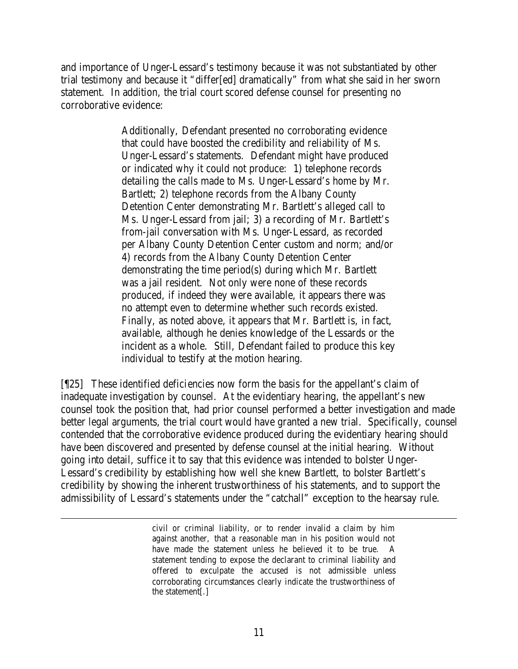and importance of Unger-Lessard's testimony because it was not substantiated by other trial testimony and because it "differ[ed] dramatically" from what she said in her sworn statement. In addition, the trial court scored defense counsel for presenting no corroborative evidence:

> Additionally, Defendant presented no corroborating evidence that could have boosted the credibility and reliability of Ms. Unger-Lessard's statements. Defendant might have produced or indicated why it could not produce: 1) telephone records detailing the calls made to Ms. Unger-Lessard's home by Mr. Bartlett; 2) telephone records from the Albany County Detention Center demonstrating Mr. Bartlett's alleged call to Ms. Unger-Lessard from jail; 3) a recording of Mr. Bartlett's from-jail conversation with Ms. Unger-Lessard, as recorded per Albany County Detention Center custom and norm; and/or 4) records from the Albany County Detention Center demonstrating the time period(s) during which Mr. Bartlett was a jail resident. Not only were none of these records produced, if indeed they were available, it appears there was no attempt even to determine whether such records existed. Finally, as noted above, it appears that Mr. Bartlett is, in fact, available, although he denies knowledge of the Lessards or the incident as a whole. Still, Defendant failed to produce this key individual to testify at the motion hearing.

[¶25] These identified deficiencies now form the basis for the appellant's claim of inadequate investigation by counsel. At the evidentiary hearing, the appellant's new counsel took the position that, had prior counsel performed a better investigation and made better legal arguments, the trial court would have granted a new trial. Specifically, counsel contended that the corroborative evidence produced during the evidentiary hearing should have been discovered and presented by defense counsel at the initial hearing. Without going into detail, suffice it to say that this evidence was intended to bolster Unger-Lessard's credibility by establishing how well she knew Bartlett, to bolster Bartlett's credibility by showing the inherent trustworthiness of his statements, and to support the admissibility of Lessard's statements under the "catchall" exception to the hearsay rule.

civil or criminal liability, or to render invalid a claim by him against another, that a reasonable man in his position would not have made the statement unless he believed it to be true. A statement tending to expose the declarant to criminal liability and offered to exculpate the accused is not admissible unless corroborating circumstances clearly indicate the trustworthiness of the statement[.]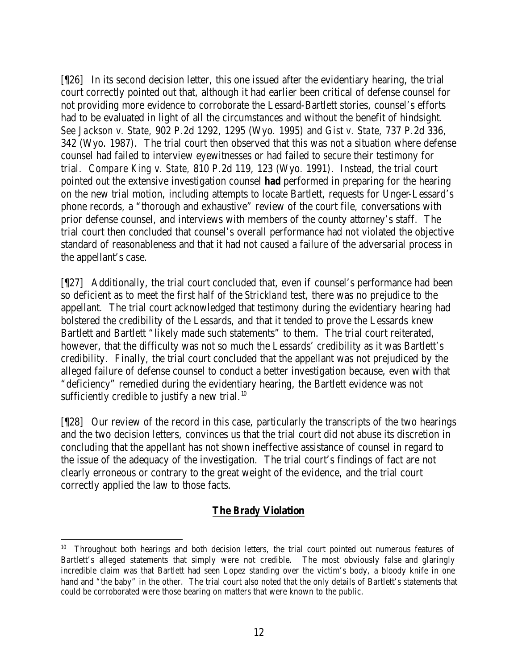[¶26] In its second decision letter, this one issued after the evidentiary hearing, the trial court correctly pointed out that, although it had earlier been critical of defense counsel for not providing more evidence to corroborate the Lessard-Bartlett stories, counsel's efforts had to be evaluated in light of all the circumstances and without the benefit of hindsight. *See Jackson v. State,* 902 P.2d 1292, 1295 (Wyo. 1995) and *Gist v. State,* 737 P.2d 336, 342 (Wyo. 1987). The trial court then observed that this was not a situation where defense counsel had failed to interview eyewitnesses or had failed to secure their testimony for trial. *Compare King v. State,* 810 P.2d 119, 123 (Wyo. 1991). Instead, the trial court pointed out the extensive investigation counsel *had* performed in preparing for the hearing on the new trial motion, including attempts to locate Bartlett, requests for Unger-Lessard's phone records, a "thorough and exhaustive" review of the court file, conversations with prior defense counsel, and interviews with members of the county attorney's staff. The trial court then concluded that counsel's overall performance had not violated the objective standard of reasonableness and that it had not caused a failure of the adversarial process in the appellant's case.

[¶27] Additionally, the trial court concluded that, even if counsel's performance had been so deficient as to meet the first half of the *Strickland* test, there was no prejudice to the appellant. The trial court acknowledged that testimony during the evidentiary hearing had bolstered the credibility of the Lessards, and that it tended to prove the Lessards knew Bartlett and Bartlett "likely made such statements" to them. The trial court reiterated, however, that the difficulty was not so much the Lessards' credibility as it was Bartlett's credibility. Finally, the trial court concluded that the appellant was not prejudiced by the alleged failure of defense counsel to conduct a better investigation because, even with that "deficiency" remedied during the evidentiary hearing, the Bartlett evidence was not sufficiently credible to justify a new trial. $10$ 

[¶28] Our review of the record in this case, particularly the transcripts of the two hearings and the two decision letters, convinces us that the trial court did not abuse its discretion in concluding that the appellant has not shown ineffective assistance of counsel in regard to the issue of the adequacy of the investigation. The trial court's findings of fact are not clearly erroneous or contrary to the great weight of the evidence, and the trial court correctly applied the law to those facts.

# **The** *Brady* **Violation**

<sup>&</sup>lt;sup>10</sup> Throughout both hearings and both decision letters, the trial court pointed out numerous features of Bartlett's alleged statements that simply were not credible. The most obviously false and glaringly incredible claim was that Bartlett had seen Lopez standing over the victim's body, a bloody knife in one hand and "the baby" in the other. The trial court also noted that the only details of Bartlett's statements that could be corroborated were those bearing on matters that were known to the public.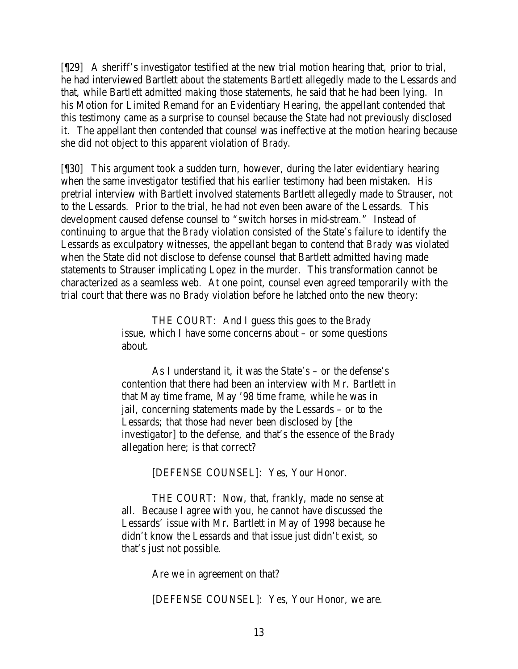[¶29] A sheriff's investigator testified at the new trial motion hearing that, prior to trial, he had interviewed Bartlett about the statements Bartlett allegedly made to the Lessards and that, while Bartlett admitted making those statements, he said that he had been lying. In his Motion for Limited Remand for an Evidentiary Hearing, the appellant contended that this testimony came as a surprise to counsel because the State had not previously disclosed it. The appellant then contended that counsel was ineffective at the motion hearing because she did not object to this apparent violation of *Brady.*

[¶30] This argument took a sudden turn, however, during the later evidentiary hearing when the same investigator testified that his earlier testimony had been mistaken. His pretrial interview with Bartlett involved statements Bartlett allegedly made to Strauser, not to the Lessards. Prior to the trial, he had not even been aware of the Lessards. This development caused defense counsel to "switch horses in mid-stream." Instead of continuing to argue that the *Brady* violation consisted of the State's failure to identify the Lessards as exculpatory witnesses, the appellant began to contend that *Brady* was violated when the State did not disclose to defense counsel that Bartlett admitted having made statements to Strauser implicating Lopez in the murder. This transformation cannot be characterized as a seamless web. At one point, counsel even agreed temporarily with the trial court that there was no *Brady* violation before he latched onto the new theory:

> THE COURT: And I guess this goes to the *Brady* issue, which I have some concerns about – or some questions about.

As I understand it, it was the State's – or the defense's contention that there had been an interview with Mr. Bartlett in that May time frame, May '98 time frame, while he was in jail, concerning statements made by the Lessards – or to the Lessards; that those had never been disclosed by [the investigator] to the defense, and that's the essence of the *Brady* allegation here; is that correct?

[DEFENSE COUNSEL]: Yes, Your Honor.

THE COURT: Now, that, frankly, made no sense at all. Because I agree with you, he cannot have discussed the Lessards' issue with Mr. Bartlett in May of 1998 because he didn't know the Lessards and that issue just didn't exist, so that's just not possible.

Are we in agreement on that?

[DEFENSE COUNSEL]: Yes, Your Honor, we are.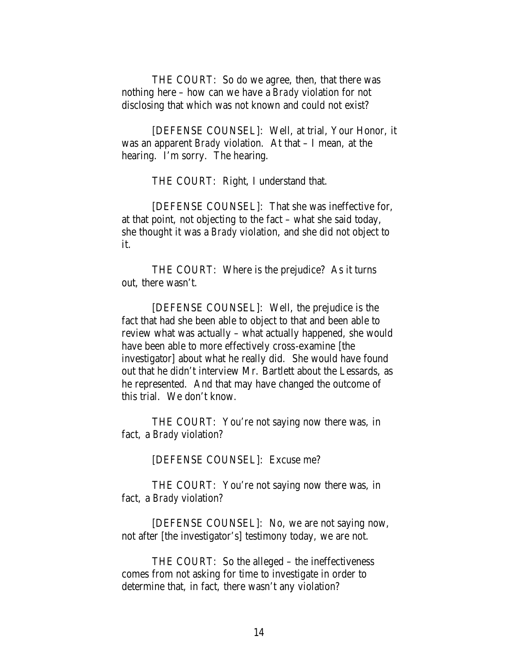THE COURT: So do we agree, then, that there was nothing here – how can we have a *Brady* violation for not disclosing that which was not known and could not exist?

[DEFENSE COUNSEL]: Well, at trial, Your Honor, it was an apparent *Brady* violation. At that – I mean, at the hearing. I'm sorry. The hearing.

THE COURT: Right, I understand that.

[DEFENSE COUNSEL]: That she was ineffective for, at that point, not objecting to the fact – what she said today, she thought it was a *Brady* violation, and she did not object to it.

THE COURT: Where is the prejudice? As it turns out, there wasn't.

[DEFENSE COUNSEL]: Well, the prejudice is the fact that had she been able to object to that and been able to review what was actually – what actually happened, she would have been able to more effectively cross-examine [the investigator] about what he really did. She would have found out that he didn't interview Mr. Bartlett about the Lessards, as he represented. And that may have changed the outcome of this trial. We don't know.

THE COURT: You're not saying now there was, in fact, a *Brady* violation?

[DEFENSE COUNSEL]: Excuse me?

THE COURT: You're not saying now there was, in fact, a *Brady* violation?

[DEFENSE COUNSEL]: No, we are not saying now, not after [the investigator's] testimony today, we are not.

THE COURT: So the alleged – the ineffectiveness comes from not asking for time to investigate in order to determine that, in fact, there wasn't any violation?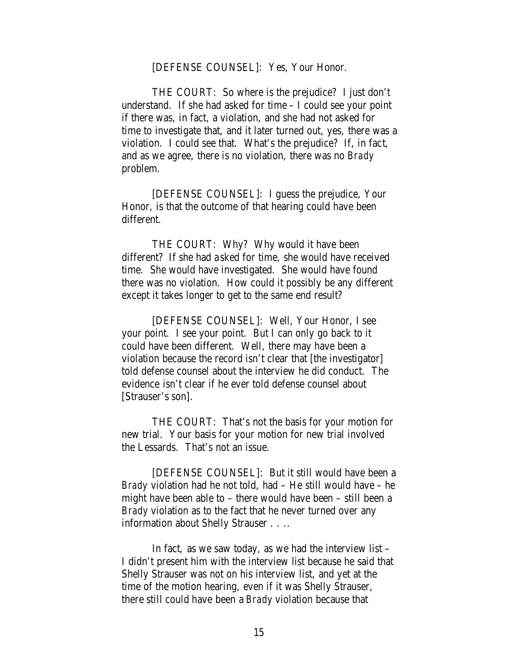#### [DEFENSE COUNSEL]: Yes, Your Honor.

THE COURT: So where is the prejudice? I just don't understand. If she had asked for time – I could see your point if there was, in fact, a violation, and she had not asked for time to investigate that, and it later turned out, yes, there was a violation. I could see that. What's the prejudice? If, in fact, and as we agree, there is no violation, there was no *Brady*  problem.

[DEFENSE COUNSEL]: I guess the prejudice, Your Honor, is that the outcome of that hearing could have been different.

THE COURT: Why? Why would it have been different? If she had a sked for time, she would have received time. She would have investigated. She would have found there was no violation. How could it possibly be any different except it takes longer to get to the same end result?

[DEFENSE COUNSEL]: Well, Your Honor, I see your point. I see your point. But I can only go back to it could have been different. Well, there may have been a violation because the record isn't clear that [the investigator] told defense counsel about the interview he did conduct. The evidence isn't clear if he ever told defense counsel about [Strauser's son].

THE COURT: That's not the basis for your motion for new trial. Your basis for your motion for new trial involved the Lessards. That's not an issue.

[DEFENSE COUNSEL]: But it still would have been a *Brady* violation had he not told, had – He still would have – he might have been able to – there would have been – still been a *Brady* violation as to the fact that he never turned over any information about Shelly Strauser . . ..

In fact, as we saw today, as we had the interview list – I didn't present him with the interview list because he said that Shelly Strauser was not on his interview list, and yet at the time of the motion hearing, even if it was Shelly Strauser, there still could have been a *Brady* violation because that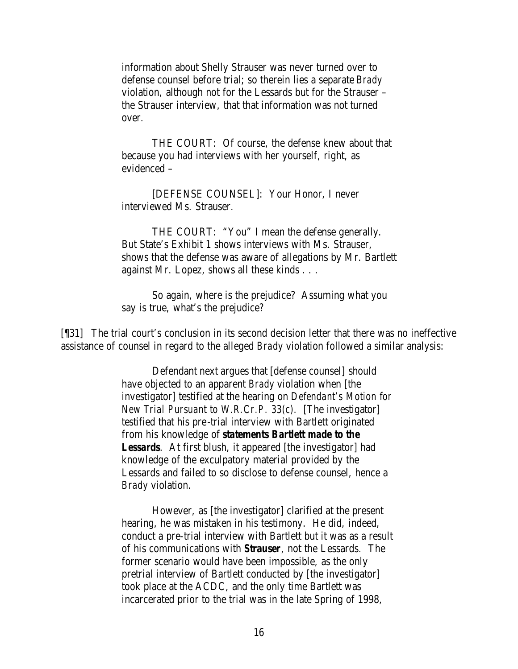information about Shelly Strauser was never turned over to defense counsel before trial; so therein lies a separate *Brady*  violation, although not for the Lessards but for the Strauser – the Strauser interview, that that information was not turned over.

THE COURT: Of course, the defense knew about that because you had interviews with her yourself, right, as evidenced –

[DEFENSE COUNSEL]: Your Honor, I never interviewed Ms. Strauser.

THE COURT: "You" I mean the defense generally. But State's Exhibit 1 shows interviews with Ms. Strauser, shows that the defense was aware of allegations by Mr. Bartlett against Mr. Lopez, shows all these kinds . . .

So again, where is the prejudice? Assuming what you say is true, what's the prejudice?

[¶31] The trial court's conclusion in its second decision letter that there was no ineffective assistance of counsel in regard to the alleged *Brady* violation followed a similar analysis:

> Defendant next argues that [defense counsel] should have objected to an apparent *Brady* violation when [the investigator] testified at the hearing on *Defendant's Motion for New Trial Pursuant to W.R.Cr.P. 33(c)*. [The investigator] testified that his pre-trial interview with Bartlett originated from his knowledge of *statements Bartlett made to the*  **Lessards**. At first blush, it appeared [the investigator] had knowledge of the exculpatory material provided by the Lessards and failed to so disclose to defense counsel, hence a *Brady* violation.

> However, as [the investigator] clarified at the present hearing, he was mistaken in his testimony. He did, indeed, conduct a pre-trial interview with Bartlett but it was as a result of his communications with *Strauser*, not the Lessards. The former scenario would have been impossible, as the only pretrial interview of Bartlett conducted by [the investigator] took place at the ACDC, and the only time Bartlett was incarcerated prior to the trial was in the late Spring of 1998,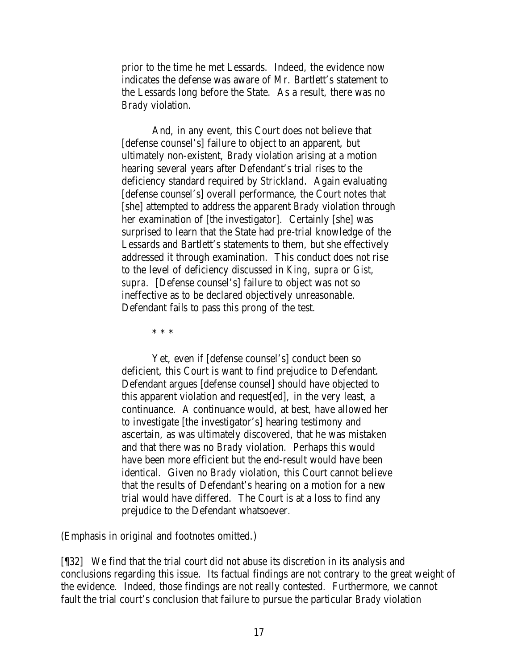prior to the time he met Lessards. Indeed, the evidence now indicates the defense was aware of Mr. Bartlett's statement to the Lessards long before the State. As a result, there was no *Brady* violation.

And, in any event, this Court does not believe that [defense counsel's] failure to object to an apparent, but ultimately non-existent, *Brady* violation arising at a motion hearing several years after Defendant's trial rises to the deficiency standard required by *Strickland.* Again evaluating [defense counsel's] overall performance, the Court notes that [she] attempted to address the apparent *Brady* violation through her examination of [the investigator]. Certainly [she] was surprised to learn that the State had pre-trial knowledge of the Lessards and Bartlett's statements to them, but she effectively addressed it through examination. This conduct does not rise to the level of deficiency discussed in *King, supra* or *Gist, supra*. [Defense counsel's] failure to object was not so ineffective as to be declared objectively unreasonable. Defendant fails to pass this prong of the test.

\* \* \*

Yet, even if [defense counsel's] conduct been so deficient, this Court is want to find prejudice to Defendant. Defendant argues [defense counsel] should have objected to this apparent violation and request[ed], in the very least, a continuance. A continuance would, at best, have allowed her to investigate [the investigator's] hearing testimony and ascertain, as was ultimately discovered, that he was mistaken and that there was no *Brady* violation. Perhaps this would have been more efficient but the end-result would have been identical. Given no *Brady* violation, this Court cannot believe that the results of Defendant's hearing on a motion for a new trial would have differed. The Court is at a loss to find any prejudice to the Defendant whatsoever.

(Emphasis in original and footnotes omitted.)

[¶32] We find that the trial court did not abuse its discretion in its analysis and conclusions regarding this issue. Its factual findings are not contrary to the great weight of the evidence. Indeed, those findings are not really contested. Furthermore, we cannot fault the trial court's conclusion that failure to pursue the particular *Brady* violation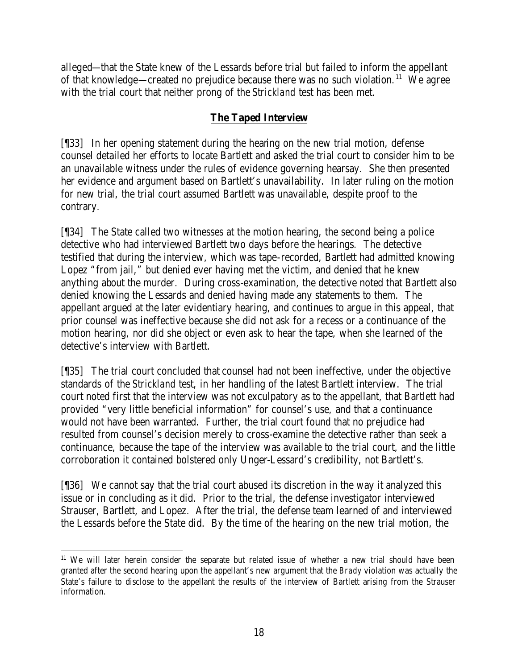alleged—that the State knew of the Lessards before trial but failed to inform the appellant of that knowledge—created no prejudice because there was no such violation.<sup>11</sup> We agree with the trial court that neither prong of the *Strickland* test has been met.

## **The Taped Interview**

[¶33] In her opening statement during the hearing on the new trial motion, defense counsel detailed her efforts to locate Bartlett and asked the trial court to consider him to be an unavailable witness under the rules of evidence governing hearsay. She then presented her evidence and argument based on Bartlett's unavailability. In later ruling on the motion for new trial, the trial court assumed Bartlett was unavailable, despite proof to the contrary.

[¶34] The State called two witnesses at the motion hearing, the second being a police detective who had interviewed Bartlett two days before the hearings. The detective testified that during the interview, which was tape-recorded, Bartlett had admitted knowing Lopez "from jail," but denied ever having met the victim, and denied that he knew anything about the murder. During cross-examination, the detective noted that Bartlett also denied knowing the Lessards and denied having made any statements to them. The appellant argued at the later evidentiary hearing, and continues to argue in this appeal, that prior counsel was ineffective because she did not ask for a recess or a continuance of the motion hearing, nor did she object or even ask to hear the tape, when she learned of the detective's interview with Bartlett.

[¶35] The trial court concluded that counsel had not been ineffective, under the objective standards of the *Strickland* test, in her handling of the latest Bartlett interview. The trial court noted first that the interview was not exculpatory as to the appellant, that Bartlett had provided "very little beneficial information" for counsel's use, and that a continuance would not have been warranted. Further, the trial court found that no prejudice had resulted from counsel's decision merely to cross-examine the detective rather than seek a continuance, because the tape of the interview was available to the trial court, and the little corroboration it contained bolstered only Unger-Lessard's credibility, not Bartlett's.

[¶36] We cannot say that the trial court abused its discretion in the way it analyzed this issue or in concluding as it did. Prior to the trial, the defense investigator interviewed Strauser, Bartlett, and Lopez. After the trial, the defense team learned of and interviewed the Lessards before the State did. By the time of the hearing on the new trial motion, the

 <sup>11</sup> We will later herein consider the separate but related issue of whether a new trial should have been granted after the second hearing upon the appellant's new argument that the *Brady* violation was actually the State's failure to disclose to the appellant the results of the interview of Bartlett arising from the Strauser information.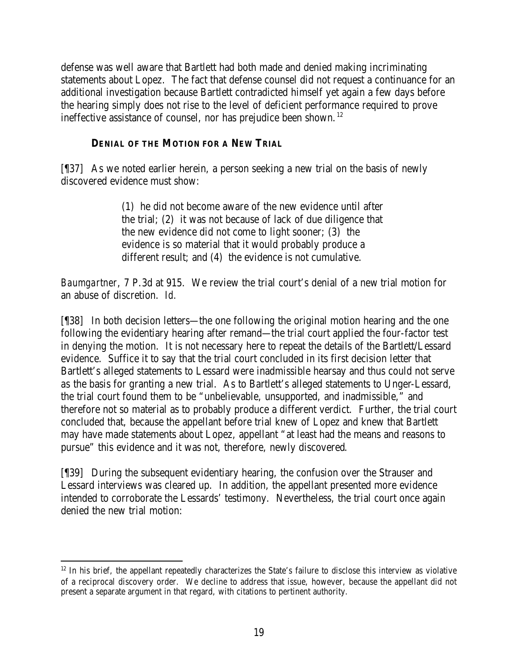defense was well aware that Bartlett had both made and denied making incriminating statements about Lopez. The fact that defense counsel did not request a continuance for an additional investigation because Bartlett contradicted himself yet again a few days before the hearing simply does not rise to the level of deficient performance required to prove ineffective assistance of counsel, nor has prejudice been shown.<sup>12</sup>

### **DENIAL OF THE MOTION FOR A NEW TRIAL**

[¶37] As we noted earlier herein, a person seeking a new trial on the basis of newly discovered evidence must show:

> (1) he did not become aware of the new evidence until after the trial; (2) it was not because of lack of due diligence that the new evidence did not come to light sooner; (3) the evidence is so material that it would probably produce a different result; and (4) the evidence is not cumulative.

*Baumgartner*, 7 P.3d at 915. We review the trial court's denial of a new trial motion for an abuse of discretion. *Id.*

[¶38] In both decision letters—the one following the original motion hearing and the one following the evidentiary hearing after remand—the trial court applied the four-factor test in denying the motion. It is not necessary here to repeat the details of the Bartlett/Lessard evidence. Suffice it to say that the trial court concluded in its first decision letter that Bartlett's alleged statements to Lessard were inadmissible hearsay and thus could not serve as the basis for granting a new trial. As to Bartlett's alleged statements to Unger-Lessard, the trial court found them to be "unbelievable, unsupported, and inadmissible," and therefore not so material as to probably produce a different verdict. Further, the trial court concluded that, because the appellant before trial knew of Lopez and knew that Bartlett may have made statements about Lopez, appellant "at least had the means and reasons to pursue" this evidence and it was not, therefore, newly discovered.

[¶39] During the subsequent evidentiary hearing, the confusion over the Strauser and Lessard interviews was cleared up. In addition, the appellant presented more evidence intended to corroborate the Lessards' testimony. Nevertheless, the trial court once again denied the new trial motion:

<sup>&</sup>lt;sup>12</sup> In his brief, the appellant repeatedly characterizes the State's failure to disclose this interview as violative of a reciprocal discovery order. We decline to address that issue, however, because the appellant did not present a separate argument in that regard, with citations to pertinent authority.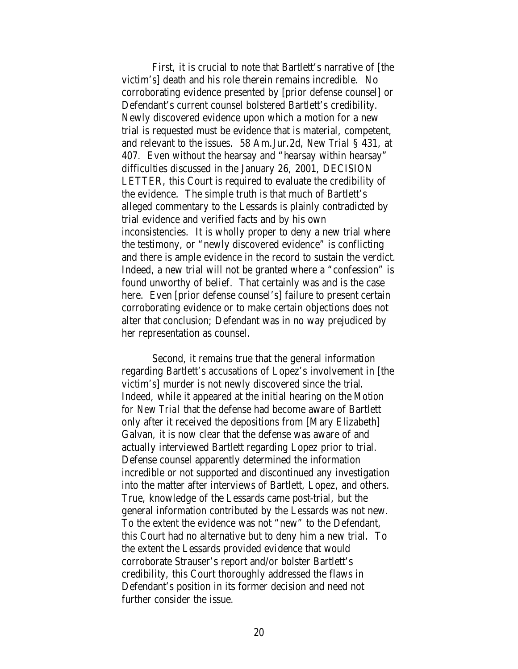First, it is crucial to note that Bartlett's narrative of [the victim's] death and his role therein remains incredible. No corroborating evidence presented by [prior defense counsel] or Defendant's current counsel bolstered Bartlett's credibility. Newly discovered evidence upon which a motion for a new trial is requested must be evidence that is material, competent, and relevant to the issues. 58 Am.Jur.2d, *New Trial* § 431, at 407. Even without the hearsay and "hearsay within hearsay" difficulties discussed in the January 26, 2001, DECISION LETTER, this Court is required to evaluate the credibility of the evidence. The simple truth is that much of Bartlett's alleged commentary to the Lessards is plainly contradicted by trial evidence and verified facts and by his own inconsistencies. It is wholly proper to deny a new trial where the testimony, or "newly discovered evidence" is conflicting and there is ample evidence in the record to sustain the verdict. Indeed, a new trial will not be granted where a "confession" is found unworthy of belief. That certainly was and is the case here. Even [prior defense counsel's] failure to present certain corroborating evidence or to make certain objections does not alter that conclusion; Defendant was in no way prejudiced by her representation as counsel.

Second, it remains true that the general information regarding Bartlett's accusations of Lopez's involvement in [the victim's] murder is not newly discovered since the trial. Indeed, while it appeared at the initial hearing on the *Motion for New Trial* that the defense had become aware of Bartlett only after it received the depositions from [Mary Elizabeth] Galvan, it is now clear that the defense was aware of and actually interviewed Bartlett regarding Lopez prior to trial. Defense counsel apparently determined the information incredible or not supported and discontinued any investigation into the matter after interviews of Bartlett, Lopez, and others. True, knowledge of the Lessards came post-trial, but the general information contributed by the Lessards was not new. To the extent the evidence was not "new" to the Defendant, this Court had no alternative but to deny him a new trial. To the extent the Lessards provided evidence that would corroborate Strauser's report and/or bolster Bartlett's credibility, this Court thoroughly addressed the flaws in Defendant's position in its former decision and need not further consider the issue.